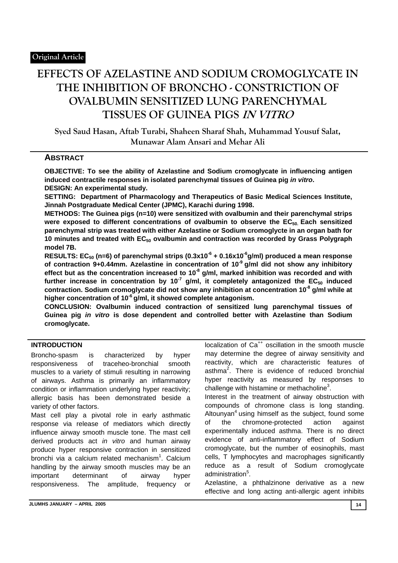# **EFFECTS OF AZELASTINE AND SODIUM CROMOGLYCATE IN THE INHIBITION OF BRONCHO - CONSTRICTION OF OVALBUMIN SENSITIZED LUNG PARENCHYMAL TISSUES OF GUINEA PIGS IN VITRO**

**Syed Saud Hasan, Aftab Turabi, Shaheen Sharaf Shah, Muhammad Yousuf Salat, Munawar Alam Ansari and Mehar Ali**

## **ABSTRACT**

**OBJECTIVE: To see the ability of Azelastine and Sodium cromoglycate in influencing antigen induced contractile responses in isolated parenchymal tissues of Guinea pig** *in vitro***. DESIGN: An experimental study.** 

**SETTING: Department of Pharmacology and Therapeutics of Basic Medical Sciences Institute, Jinnah Postgraduate Medical Center (JPMC), Karachi during 1998.** 

**METHODS: The Guinea pigs (n=10) were sensitized with ovalbumin and their parenchymal strips**  were exposed to different concentrations of ovalbumin to observe the EC<sub>50</sub>. Each sensitized **parenchymal strip was treated with either Azelastine or Sodium cromoglycte in an organ bath for**  10 minutes and treated with EC<sub>50</sub> ovalbumin and contraction was recorded by Grass Polygraph **model 7B.** 

RESULTS: EC<sub>50</sub> (n=6) of parenchymal strips (0.3x10<sup>-6</sup> + 0.16x10<sup>-6</sup>g/ml) produced a mean response of contraction 9+0.44mm. Azelastine in concentration of 10<sup>-9</sup> g/ml did not show any inhibitory effect but as the concentration increased to 10<sup>-8</sup> g/ml, marked inhibition was recorded and with further increase in concentration by 10<sup>-7</sup> g/ml, it completely antagonized the EC<sub>50</sub> induced **contraction. Sodium cromoglycate did not show any inhibition at concentration 10-8 g/ml while at higher concentration of 10-6 g/ml, it showed complete antagonism.** 

**CONCLUSION: Ovalbumin induced contraction of sensitized lung parenchymal tissues of Guinea pig** *in vitro* **is dose dependent and controlled better with Azelastine than Sodium cromoglycate.** 

### **INTRODUCTION**

Broncho-spasm is characterized by hyper responsiveness of traceheo-bronchial smooth muscles to a variety of stimuli resulting in narrowing of airways. Asthma is primarily an inflammatory condition or inflammation underlying hyper reactivity; allergic basis has been demonstrated beside a variety of other factors.

Mast cell play a pivotal role in early asthmatic response via release of mediators which directly influence airway smooth muscle tone. The mast cell derived products act *in vitro* and human airway produce hyper responsive contraction in sensitized bronchi via a calcium related mechanism<sup>1</sup>. Calcium handling by the airway smooth muscles may be an important determinant of airway hyper responsiveness. The amplitude, frequency or

localization of Ca<sup>++</sup> oscillation in the smooth muscle may determine the degree of airway sensitivity and reactivity, which are characteristic features of asthma<sup>2</sup>. There is evidence of reduced bronchial hyper reactivity as measured by responses to challenge with histamine or methacholine $3$ .

Interest in the treatment of airway obstruction with compounds of chromone class is long standing. Altounyan<sup>4</sup> using himself as the subject, found some of the chromone-protected action against experimentally induced asthma. There is no direct evidence of anti-inflammatory effect of Sodium cromoglycate, but the number of eosinophils, mast cells, T lymphocytes and macrophages significantly reduce as a result of Sodium cromoglycate administration<sup>5</sup>.

Azelastine, a phthalzinone derivative as a new effective and long acting anti-allergic agent inhibits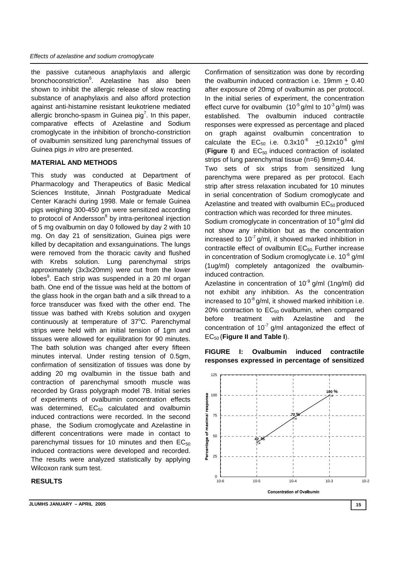the passive cutaneous anaphylaxis and allergic bronchoconstriction<sup>6</sup>. Azelastine has also been shown to inhibit the allergic release of slow reacting substance of anaphylaxis and also afford protection against anti-histamine resistant leukotriene mediated allergic broncho-spasm in Guinea pig<sup>7</sup>. In this paper, comparative effects of Azelastine and Sodium cromoglycate in the inhibition of broncho-constriction of ovalbumin sensitized lung parenchymal tissues of Guinea pigs *in vitro* are presented.

#### **MATERIAL AND METHODS**

This study was conducted at Department of Pharmacology and Therapeutics of Basic Medical Sciences Institute, Jinnah Postgraduate Medical Center Karachi during 1998. Male or female Guinea pigs weighing 300-450 gm were sensitized according to protocol of Andersson<sup>8</sup> by intra-peritoneal injection of 5 mg ovalbumin on day 0 followed by day 2 with 10 mg. On day 21 of sensitization, Guinea pigs were killed by decapitation and exsanguinations. The lungs were removed from the thoracic cavity and flushed with Krebs solution. Lung parenchymal strips approximately (3x3x20mm) were cut from the lower lobes<sup>9</sup>. Each strip was suspended in a 20 ml organ bath. One end of the tissue was held at the bottom of the glass hook in the organ bath and a silk thread to a force transducer was fixed with the other end. The tissue was bathed with Krebs solution and oxygen continuously at temperature of 37°C. Parenchymal strips were held with an initial tension of 1gm and tissues were allowed for equilibration for 90 minutes. The bath solution was changed after every fifteen minutes interval. Under resting tension of 0.5gm, confirmation of sensitization of tissues was done by adding 20 mg ovalbumin in the tissue bath and contraction of parenchymal smooth muscle was recorded by Grass polygraph model 7B. Initial series of experiments of ovalbumin concentration effects was determined,  $EC_{50}$  calculated and ovalbumin induced contractions were recorded. In the second phase, the Sodium cromoglycate and Azelastine in different concentrations were made in contact to parenchymal tissues for 10 minutes and then  $EC_{50}$ induced contractions were developed and recorded. The results were analyzed statistically by applying Wilcoxon rank sum test.

## **RESULTS**

Confirmation of sensitization was done by recording the ovalbumin induced contraction i.e. 19mm + 0.40 after exposure of 20mg of ovalbumin as per protocol. In the initial series of experiment, the concentration effect curve for ovalbumin  $(10^{-5}$  g/ml to  $10^{-3}$  g/ml) was established. The ovalbumin induced contractile responses were expressed as percentage and placed on graph against ovalbumin concentration to calculate the  $EC_{50}$  i.e.  $0.3x10^{-6}$   $\pm 0.12x10^{-6}$  g/ml (**Figure I**) and EC<sub>50</sub> induced contraction of isolated strips of lung parenchymal tissue (n=6) 9mm+0.44.

Two sets of six strips from sensitized lung parenchyma were prepared as per protocol. Each strip after stress relaxation incubated for 10 minutes in serial concentration of Sodium cromoglycate and Azelastine and treated with ovalbumin  $EC_{50}$  produced contraction which was recorded for three minutes.

Sodium cromoglycate in concentration of  $10^{-8}$  g/ml did not show any inhibition but as the concentration increased to  $10^{-7}$  g/ml, it showed marked inhibition in contractile effect of ovalbumin  $EC_{50}$  Further increase in concentration of Sodium cromoglycate i.e.  $10^{-6}$  g/ml (1ug/ml) completely antagonized the ovalbumininduced contraction.

Azelastine in concentration of  $10^{-9}$  g/ml (1ng/ml) did not exhibit any inhibition. As the concentration increased to  $10^{-8}$  g/ml, it showed marked inhibition i.e. 20% contraction to  $EC_{50}$  ovalbumin, when compared before treatment with Azelastine and the concentration of  $10^{-7}$  g/ml antagonized the effect of EC50 (**Figure II and Table I**).

**FIGURE I: Ovalbumin induced contractile responses expressed in percentage of sensitized** 

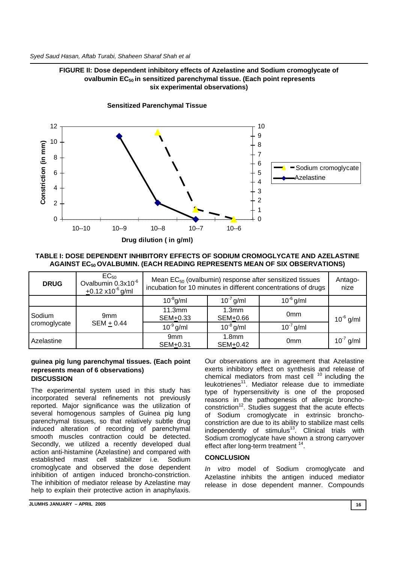## **FIGURE II: Dose dependent inhibitory effects of Azelastine and Sodium cromoglycate of ovalbumin EC50 in sensitized parenchymal tissue. (Each point represents six experimental observations)**



**Sensitized parenchymal tissue Sensitized Parenchymal Tissue** 

#### **TABLE I: DOSE DEPENDENT INHIBITORY EFFECTS OF SODIUM CROMOGLYCATE AND AZELASTINE AGAINST EC50 OVALBUMIN. (EACH READING REPRESENTS MEAN OF SIX OBSERVATIONS)**

| <b>DRUG</b>            | $EC_{50}$<br>Ovalbumin 0.3x10 <sup>-6</sup><br>$\pm$ 0.12 x10 <sup>-6</sup> g/ml | Mean $EC_{50}$ (ovalbumin) response after sensitized tissues<br>incubation for 10 minutes in different concentrations of drugs |                               |                 | Antago-<br>nize |
|------------------------|----------------------------------------------------------------------------------|--------------------------------------------------------------------------------------------------------------------------------|-------------------------------|-----------------|-----------------|
|                        |                                                                                  | $10^{-8}$ g/ml                                                                                                                 | $10^{-7}$ g/ml                | $10^{-6}$ g/ml  |                 |
| Sodium<br>cromoglycate | 9mm<br>$SEM + 0.44$                                                              | 11.3mm<br>SEM+0.33                                                                                                             | 1.3 <sub>mm</sub><br>SEM+0.66 | 0 <sub>mm</sub> | $10^{-6}$ g/ml  |
|                        |                                                                                  | $10^{-9}$ g/ml                                                                                                                 | $10^{-8}$ g/ml                | $10^{-7}$ g/ml  |                 |
| Azelastine             |                                                                                  | 9mm<br>SEM+0.31                                                                                                                | 1.8 <sub>mm</sub><br>SEM+0.42 | 0 <sub>mm</sub> | $10^{-7}$ g/ml  |

#### **guinea pig lung parenchymal tissues. (Each point represents mean of 6 observations) DISCUSSION**

The experimental system used in this study has incorporated several refinements not previously reported. Major significance was the utilization of several homogenous samples of Guinea pig lung parenchymal tissues, so that relatively subtle drug induced alteration of recording of parenchymal smooth muscles contraction could be detected. Secondly, we utilized a recently developed dual action anti-histamine (Azelastine) and compared with established mast cell stabilizer i.e. Sodium cromoglycate and observed the dose dependent inhibition of antigen induced broncho-constriction. The inhibition of mediator release by Azelastine may help to explain their protective action in anaphylaxis.

Our observations are in agreement that Azelastine exerts inhibitory effect on synthesis and release of chemical mediators from mast cell <sup>10</sup> including the leukotrienes<sup>11</sup>. Mediator release due to immediate type of hypersensitivity is one of the proposed reasons in the pathogenesis of allergic broncho $constant<sup>12</sup>$ . Studies suggest that the acute effects of Sodium cromoglycate in extrinsic bronchoconstriction are due to its ability to stabilize mast cells independently of stimulus<sup>13</sup>. Clinical trials with Sodium cromoglycate have shown a strong carryover effect after long-term treatment <sup>14</sup>.

## **CONCLUSION**

*In vitro* model of Sodium cromoglycate and Azelastine inhibits the antigen induced mediator release in dose dependent manner. Compounds